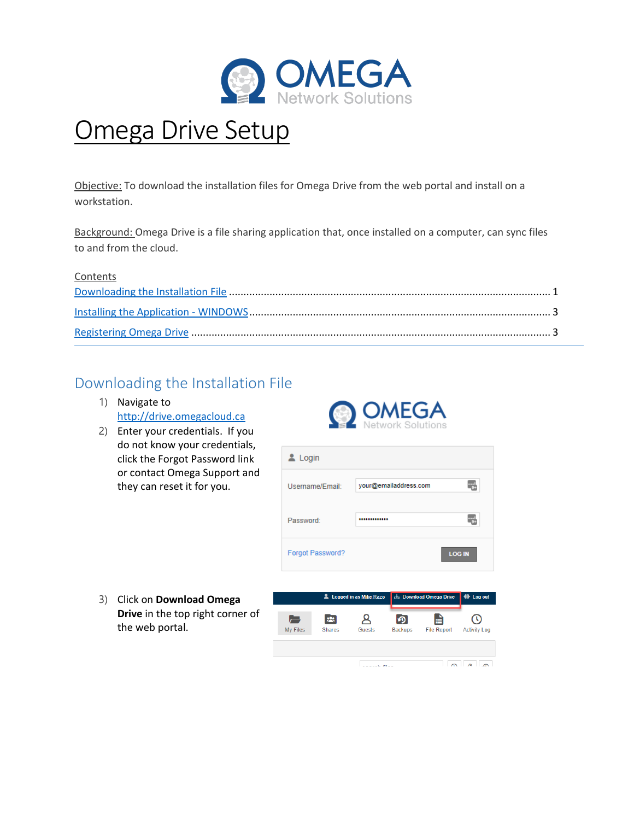

# Omega Drive Setup

Objective: To download the installation files for Omega Drive from the web portal and install on a workstation.

Background: Omega Drive is a file sharing application that, once installed on a computer, can sync files to and from the cloud.

#### **Contents**

### <span id="page-0-0"></span>Downloading the Installation File

- 1) Navigate to [http://drive.omegacloud.ca](about:blank)
- 2) Enter your credentials. If you do not know your credentials, click the Forgot Password link or contact Omega Support and they can reset it for you.





3) Click on **Download Omega Drive** in the top right corner of the web portal.

> **Concert Alex**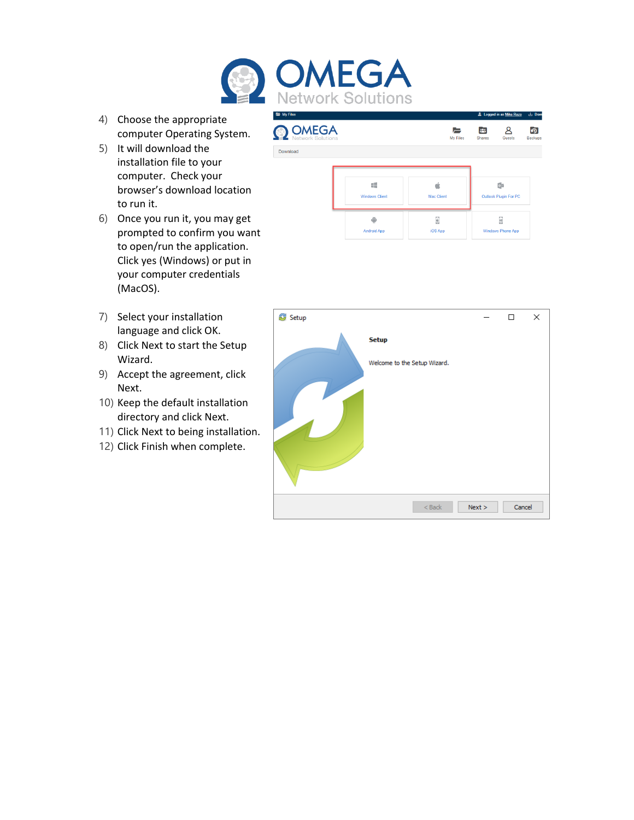

- 4) Choose the appropriate computer Operating System.
- 5) It will download the installation file to your computer. Check your browser's download location to run it.
- 6) Once you run it, you may get prompted to confirm you want to open/run the application. Click yes (Windows) or put in your computer credentials (MacOS).
- 7) Select your installation language and click OK.
- 8) Click Next to start the Setup Wizard.
- 9) Accept the agreement, click Next.
- 10) Keep the default installation directory and click Next.
- 11) Click Next to being installation.
- 12) Click Finish when complete.



| Setup |                              |        | п      | × |
|-------|------------------------------|--------|--------|---|
|       | <b>Setup</b>                 |        |        |   |
|       | Welcome to the Setup Wizard. |        |        |   |
|       |                              |        |        |   |
|       |                              |        |        |   |
|       |                              |        |        |   |
|       | $<$ Back                     | Next > | Cancel |   |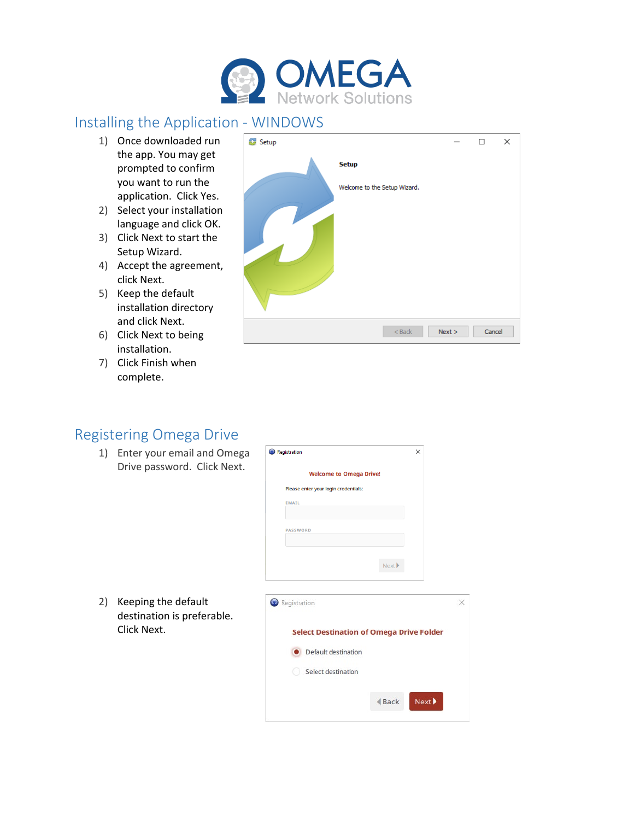

## <span id="page-2-0"></span>Installing the Application - WINDOWS

- 1) Once downloaded run the app. You may get prompted to confirm you want to run the application. Click Yes.
- 2) Select your installation language and click OK.
- 3) Click Next to start the Setup Wizard.
- 4) Accept the agreement, click Next.
- 5) Keep the default installation directory and click Next.
- 6) Click Next to being installation.
- 7) Click Finish when complete.



#### <span id="page-2-1"></span>Registering Omega Drive

1) Enter your email and Omega Drive password. Click Next.



 $\triangleleft$  Back

 $Next$ 

Select destination

 $\times$ 

2) Keeping the default destination is preferable. Click Next.